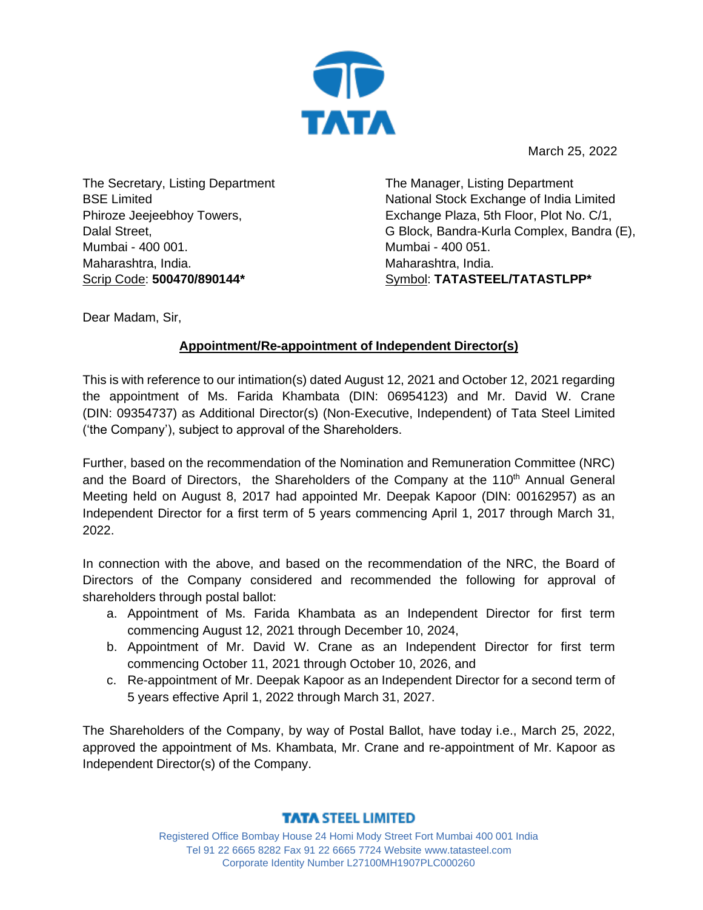

March 25, 2022

The Secretary, Listing Department BSE Limited Phiroze Jeejeebhoy Towers, Dalal Street, Mumbai - 400 001. Maharashtra, India. Scrip Code: **500470/890144\***

 The Manager, Listing Department National Stock Exchange of India Limited Exchange Plaza, 5th Floor, Plot No. C/1, G Block, Bandra-Kurla Complex, Bandra (E), Mumbai - 400 051. Maharashtra, India. Symbol: **TATASTEEL/TATASTLPP\***

Dear Madam, Sir,

## **Appointment/Re-appointment of Independent Director(s)**

This is with reference to our intimation(s) dated August 12, 2021 and October 12, 2021 regarding the appointment of Ms. Farida Khambata (DIN: 06954123) and Mr. David W. Crane (DIN: 09354737) as Additional Director(s) (Non-Executive, Independent) of Tata Steel Limited ('the Company'), subject to approval of the Shareholders.

Further, based on the recommendation of the Nomination and Remuneration Committee (NRC) and the Board of Directors, the Shareholders of the Company at the 110<sup>th</sup> Annual General Meeting held on August 8, 2017 had appointed Mr. Deepak Kapoor (DIN: 00162957) as an Independent Director for a first term of 5 years commencing April 1, 2017 through March 31, 2022.

In connection with the above, and based on the recommendation of the NRC, the Board of Directors of the Company considered and recommended the following for approval of shareholders through postal ballot:

- a. Appointment of Ms. Farida Khambata as an Independent Director for first term commencing August 12, 2021 through December 10, 2024,
- b. Appointment of Mr. David W. Crane as an Independent Director for first term commencing October 11, 2021 through October 10, 2026, and
- c. Re-appointment of Mr. Deepak Kapoor as an Independent Director for a second term of 5 years effective April 1, 2022 through March 31, 2027.

The Shareholders of the Company, by way of Postal Ballot, have today i.e., March 25, 2022, approved the appointment of Ms. Khambata, Mr. Crane and re-appointment of Mr. Kapoor as Independent Director(s) of the Company.

## **TATA STEEL LIMITED**

Registered Office Bombay House 24 Homi Mody Street Fort Mumbai 400 001 India Tel 91 22 6665 8282 Fax 91 22 6665 7724 Website www.tatasteel.com Corporate Identity Number L27100MH1907PLC000260